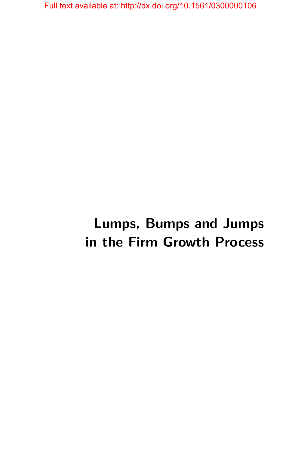# **Lumps, Bumps and Jumps in the Firm Growth Process**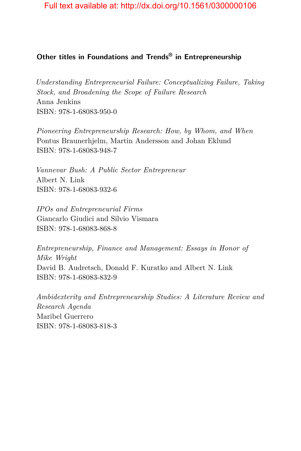# **Other titles in Foundations and Trends® in Entrepreneurship**

*Understanding Entrepreneurial Failure: Conceptualizing Failure, Taking Stock, and Broadening the Scope of Failure Research* Anna Jenkins ISBN: 978-1-68083-950-0

*Pioneering Entrepreneurship Research: How, by Whom, and When* Pontus Braunerhjelm, Martin Andersson and Johan Eklund ISBN: 978-1-68083-948-7

*Vannevar Bush: A Public Sector Entrepreneur* Albert N. Link ISBN: 978-1-68083-932-6

*IPOs and Entrepreneurial Firms* Giancarlo Giudici and Silvio Vismara ISBN: 978-1-68083-868-8

*Entrepreneurship, Finance and Management: Essays in Honor of Mike Wright* David B. Audretsch, Donald F. Kuratko and Albert N. Link ISBN: 978-1-68083-832-9

*Ambidexterity and Entrepreneurship Studies: A Literature Review and Research Agenda* Maribel Guerrero ISBN: 978-1-68083-818-3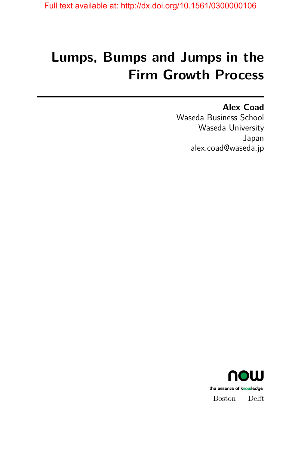# **Lumps, Bumps and Jumps in the Firm Growth Process**

**Alex Coad** Waseda Business School Waseda University Japan alex.coad@waseda.jp

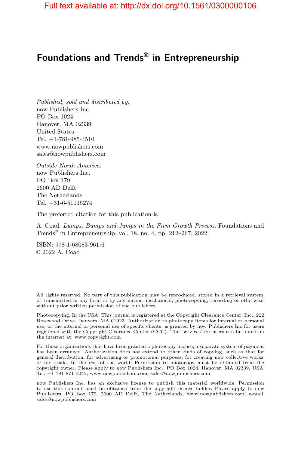# **Foundations and Trends® in Entrepreneurship**

*Published, sold and distributed by:* now Publishers Inc. PO Box 1024 Hanover, MA 02339 United States Tel. +1-781-985-4510 www.nowpublishers.com sales@nowpublishers.com

*Outside North America:* now Publishers Inc. PO Box 179 2600 AD Delft The Netherlands Tel. +31-6-51115274

The preferred citation for this publication is

A. Coad. *Lumps, Bumps and Jumps in the Firm Growth Process*. Foundations and Trends® in Entrepreneurship, vol. 18, no. 4, pp. 212–267, 2022.

ISBN: 978-1-68083-961-6 © 2022 A. Coad

All rights reserved. No part of this publication may be reproduced, stored in a retrieval system, or transmitted in any form or by any means, mechanical, photocopying, recording or otherwise, without prior written permission of the publishers.

Photocopying. In the USA: This journal is registered at the Copyright Clearance Center, Inc., 222 Rosewood Drive, Danvers, MA 01923. Authorization to photocopy items for internal or personal use, or the internal or personal use of specific clients, is granted by now Publishers Inc for users registered with the Copyright Clearance Center (CCC). The 'services' for users can be found on the internet at: www.copyright.com

For those organizations that have been granted a photocopy license, a separate system of payment has been arranged. Authorization does not extend to other kinds of copying, such as that for general distribution, for advertising or promotional purposes, for creating new collective works, or for resale. In the rest of the world: Permission to photocopy must be obtained from the copyright owner. Please apply to now Publishers Inc., PO Box 1024, Hanover, MA 02339, USA; Tel. +1 781 871 0245; www.nowpublishers.com; sales@nowpublishers.com

now Publishers Inc. has an exclusive license to publish this material worldwide. Permission to use this content must be obtained from the copyright license holder. Please apply to now Publishers, PO Box 179, 2600 AD Delft, The Netherlands, www.nowpublishers.com; e-mail: sales@nowpublishers.com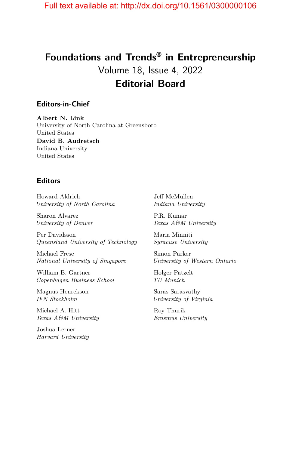# **Foundations and Trends® in Entrepreneurship** Volume 18, Issue 4, 2022 **Editorial Board**

#### **Editors-in-Chief**

**Albert N. Link** University of North Carolina at Greensboro United States **David B. Audretsch** Indiana University United States

#### **Editors**

Howard Aldrich *University of North Carolina*

Sharon Alvarez *University of Denver*

Per Davidsson *Queensland University of Technology*

Michael Frese *National University of Singapore*

William B. Gartner *Copenhagen Business School*

Magnus Henrekson *IFN Stockholm*

Michael A. Hitt *Texas A&M University*

Joshua Lerner *Harvard University* Jeff McMullen *Indiana University*

P.R. Kumar *Texas A&M University*

Maria Minniti *Syracuse University*

Simon Parker *University of Western Ontario*

Holger Patzelt *TU Munich*

Saras Sarasvathy *University of Virginia*

Roy Thurik *Erasmus University*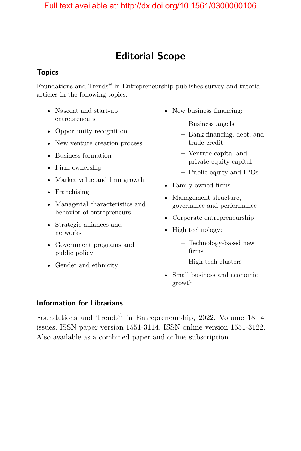# **Editorial Scope**

## **Topics**

Foundations and Trends<sup>®</sup> in Entrepreneurship publishes survey and tutorial articles in the following topics:

- Nascent and start-up entrepreneurs
- Opportunity recognition
- New venture creation process
- Business formation
- Firm ownership
- Market value and firm growth
- Franchising
- Managerial characteristics and behavior of entrepreneurs
- Strategic alliances and networks
- Government programs and public policy
- Gender and ethnicity
- New business financing:
	- **–** Business angels
	- **–** Bank financing, debt, and trade credit
	- **–** Venture capital and private equity capital
	- **–** Public equity and IPOs
- Family-owned firms
- Management structure, governance and performance
- Corporate entrepreneurship
- High technology:
	- **–** Technology-based new firms
	- **–** High-tech clusters
- Small business and economic growth

## **Information for Librarians**

Foundations and Trends® in Entrepreneurship, 2022, Volume 18, 4 issues. ISSN paper version 1551-3114. ISSN online version 1551-3122. Also available as a combined paper and online subscription.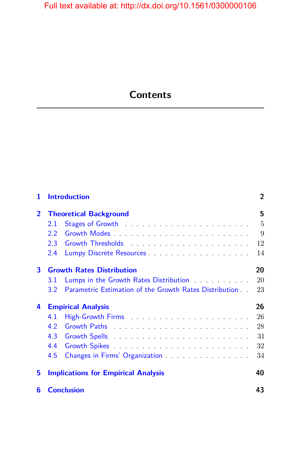# **Contents**

| 1              | <b>Introduction</b>                                                         | $\overline{2}$ |
|----------------|-----------------------------------------------------------------------------|----------------|
| $\overline{2}$ | <b>Theoretical Background</b>                                               | 5              |
|                | Stages of Growth entertainment is a series of Growth<br>2.1                 | 5              |
|                | 2.2                                                                         | 9              |
|                | 2.3                                                                         | 12             |
|                | 2.4                                                                         | 14             |
| 3              | <b>Growth Rates Distribution</b>                                            | 20             |
|                | Lumps in the Growth Rates Distribution <b>Exercise 2</b><br>3.1             | 20             |
|                | Parametric Estimation of the Growth Rates Distribution<br>3.2 <sub>2</sub>  | 23             |
| 4              | <b>Empirical Analysis</b>                                                   | 26             |
|                | 4.1                                                                         | 26             |
|                | 4.2                                                                         | 28             |
|                | 4.3                                                                         | 31             |
|                | 4.4                                                                         | 32             |
|                | Changes in Firms' Organization <b>Changes</b> in Firms' Organization<br>4.5 | 34             |
| 5              | <b>Implications for Empirical Analysis</b>                                  | 40             |
| 6              | <b>Conclusion</b>                                                           | 43             |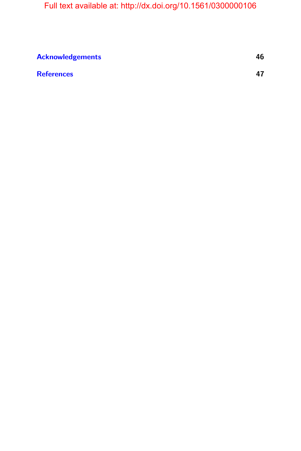| 46 |
|----|
| 47 |
|    |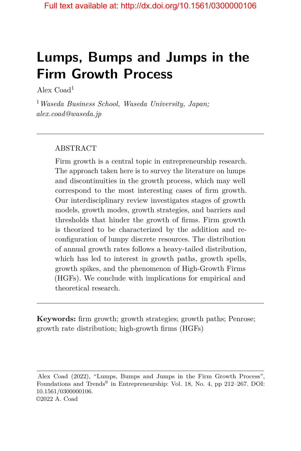# **Lumps, Bumps and Jumps in the Firm Growth Process**

Alex  $Coad<sup>1</sup>$ 

<sup>1</sup>*Waseda Business School, Waseda University, Japan; alex.coad@waseda.jp*

## ABSTRACT

Firm growth is a central topic in entrepreneurship research. The approach taken here is to survey the literature on lumps and discontinuities in the growth process, which may well correspond to the most interesting cases of firm growth. Our interdisciplinary review investigates stages of growth models, growth modes, growth strategies, and barriers and thresholds that hinder the growth of firms. Firm growth is theorized to be characterized by the addition and reconfiguration of lumpy discrete resources. The distribution of annual growth rates follows a heavy-tailed distribution, which has led to interest in growth paths, growth spells, growth spikes, and the phenomenon of High-Growth Firms (HGFs). We conclude with implications for empirical and theoretical research.

**Keywords:** firm growth; growth strategies; growth paths; Penrose; growth rate distribution; high-growth firms (HGFs)

Alex Coad (2022), "Lumps, Bumps and Jumps in the Firm Growth Process", Foundations and Trends<sup>®</sup> in Entrepreneurship: Vol. 18, No. 4, pp 212–267. DOI: 10.1561/0300000106. ©2022 A. Coad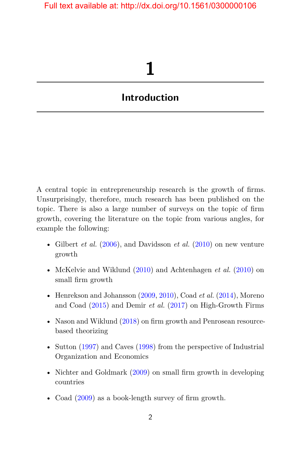# **1**

# <span id="page-9-0"></span>**Introduction**

A central topic in entrepreneurship research is the growth of firms. Unsurprisingly, therefore, much research has been published on the topic. There is also a large number of surveys on the topic of firm growth, covering the literature on the topic from various angles, for example the following:

- Gilbert *et al.* [\(2006\)](#page-18-0), and Davidsson *et al.* [\(2010\)](#page-16-0) on new venture growth
- McKelvie and Wiklund [\(2010\)](#page-19-0) and Achtenhagen *et al.* [\(2010\)](#page-12-1) on small firm growth
- Henrekson and Johansson  $(2009, 2010)$  $(2009, 2010)$  $(2009, 2010)$ , Coad *et al.*  $(2014)$ , Moreno and Coad [\(2015\)](#page-20-0) and Demir *et al.* [\(2017\)](#page-17-0) on High-Growth Firms
- Nason and Wiklund [\(2018\)](#page-20-1) on firm growth and Penrosean resourcebased theorizing
- Sutton [\(1997\)](#page-21-0) and Caves [\(1998\)](#page-14-0) from the perspective of Industrial Organization and Economics
- Nichter and Goldmark [\(2009\)](#page-20-2) on small firm growth in developing countries
- Coad [\(2009\)](#page-14-1) as a book-length survey of firm growth.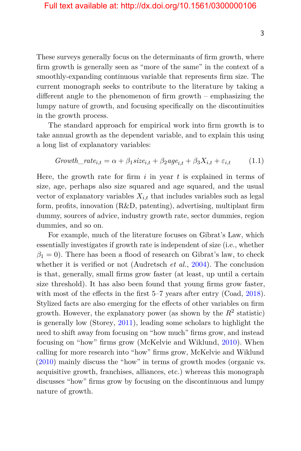These surveys generally focus on the determinants of firm growth, where firm growth is generally seen as "more of the same" in the context of a smoothly-expanding continuous variable that represents firm size. The current monograph seeks to contribute to the literature by taking a different angle to the phenomenon of firm growth – emphasizing the lumpy nature of growth, and focusing specifically on the discontinuities in the growth process.

The standard approach for empirical work into firm growth is to take annual growth as the dependent variable, and to explain this using a long list of explanatory variables:

$$
Growth\_rate_{i,t} = \alpha + \beta_1 size_{i,t} + \beta_2 age_{i,t} + \beta_3 X_{i,t} + \varepsilon_{i,t} \tag{1.1}
$$

Here, the growth rate for firm *i* in year *t* is explained in terms of size, age, perhaps also size squared and age squared, and the usual vector of explanatory variables  $X_{i,t}$  that includes variables such as legal form, profits, innovation (R&D, patenting), advertising, multiplant firm dummy, sources of advice, industry growth rate, sector dummies, region dummies, and so on.

For example, much of the literature focuses on Gibrat's Law, which essentially investigates if growth rate is independent of size (i.e., whether  $\beta_1 = 0$ ). There has been a flood of research on Gibrat's law, to check whether it is verified or not (Audretsch *et al.*, [2004\)](#page-12-2). The conclusion is that, generally, small firms grow faster (at least, up until a certain size threshold). It has also been found that young firms grow faster, with most of the effects in the first 5–7 years after entry (Coad, [2018\)](#page-14-2). Stylized facts are also emerging for the effects of other variables on firm growth. However, the explanatory power (as shown by the  $R^2$  statistic) is generally low (Storey, [2011\)](#page-21-1), leading some scholars to highlight the need to shift away from focusing on "how much" firms grow, and instead focusing on "how" firms grow (McKelvie and Wiklund, [2010\)](#page-19-0). When calling for more research into "how" firms grow, McKelvie and Wiklund [\(2010\)](#page-19-0) mainly discuss the "how" in terms of growth modes (organic vs. acquisitive growth, franchises, alliances, etc.) whereas this monograph discusses "how" firms grow by focusing on the discontinuous and lumpy nature of growth.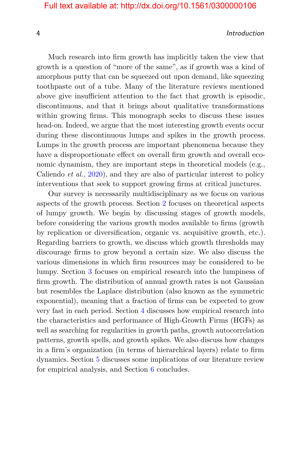#### 4 Introduction

Much research into firm growth has implicitly taken the view that growth is a question of "more of the same", as if growth was a kind of amorphous putty that can be squeezed out upon demand, like squeezing toothpaste out of a tube. Many of the literature reviews mentioned above give insufficient attention to the fact that growth is episodic, discontinuous, and that it brings about qualitative transformations within growing firms. This monograph seeks to discuss these issues head-on. Indeed, we argue that the most interesting growth events occur during these discontinuous lumps and spikes in the growth process. Lumps in the growth process are important phenomena because they have a disproportionate effect on overall firm growth and overall economic dynamism, they are important steps in theoretical models (e.g., Caliendo *et al.*, [2020\)](#page-14-3), and they are also of particular interest to policy interventions that seek to support growing firms at critical junctures.

Our survey is necessarily multidisciplinary as we focus on various aspects of the growth process. Section [2](#page--1-0) focuses on theoretical aspects of lumpy growth. We begin by discussing stages of growth models, before considering the various growth modes available to firms (growth by replication or diversification, organic vs. acquisitive growth, etc.). Regarding barriers to growth, we discuss which growth thresholds may discourage firms to grow beyond a certain size. We also discuss the various dimensions in which firm resources may be considered to be lumpy. Section [3](#page--1-0) focuses on empirical research into the lumpiness of firm growth. The distribution of annual growth rates is not Gaussian but resembles the Laplace distribution (also known as the symmetric exponential), meaning that a fraction of firms can be expected to grow very fast in each period. Section [4](#page--1-0) discusses how empirical research into the characteristics and performance of High-Growth Firms (HGFs) as well as searching for regularities in growth paths, growth autocorrelation patterns, growth spells, and growth spikes. We also discuss how changes in a firm's organization (in terms of hierarchical layers) relate to firm dynamics. Section [5](#page--1-0) discusses some implications of our literature review for empirical analysis, and Section [6](#page--1-0) concludes.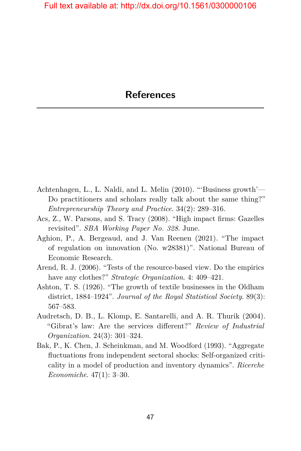- <span id="page-12-1"></span><span id="page-12-0"></span>Achtenhagen, L., L. Naldi, and L. Melin (2010). "'Business growth'— Do practitioners and scholars really talk about the same thing?" *Entrepreneurship Theory and Practice*. 34(2): 289–316.
- Acs, Z., W. Parsons, and S. Tracy (2008). "High impact firms: Gazelles revisited". *SBA Working Paper No. 328*. June.
- Aghion, P., A. Bergeaud, and J. Van Reenen (2021). "The impact of regulation on innovation (No. w28381)". National Bureau of Economic Research.
- Arend, R. J. (2006). "Tests of the resource-based view. Do the empirics have any clothes?" *Strategic Organization.* 4: 409–421.
- Ashton, T. S. (1926). "The growth of textile businesses in the Oldham district, 1884–1924". *Journal of the Royal Statistical Society*. 89(3): 567–583.
- <span id="page-12-2"></span>Audretsch, D. B., L. Klomp, E. Santarelli, and A. R. Thurik (2004). "Gibrat's law: Are the services different?" *Review of Industrial Organization*. 24(3): 301–324.
- Bak, P., K. Chen, J. Scheinkman, and M. Woodford (1993). "Aggregate fluctuations from independent sectoral shocks: Self-organized criticality in a model of production and inventory dynamics". *Ricerche Economiche*. 47(1): 3–30.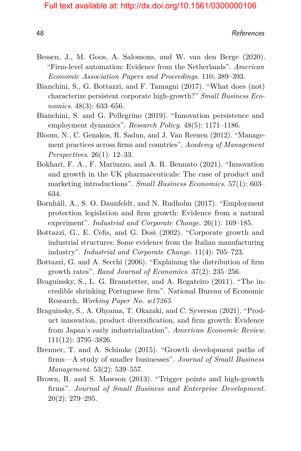- Bessen, J., M. Goos, A. Salomons, and W. van den Berge (2020). "Firm-level automation: Evidence from the Netherlands". *American Economic Association Papers and Proceedings*. 110: 389–393.
- Bianchini, S., G. Bottazzi, and F. Tamagni (2017). "What does (not) characterize persistent corporate high-growth?" *Small Business Economics*. 48(3): 633–656.
- Bianchini, S. and G. Pellegrino (2019). "Innovation persistence and employment dynamics". *Research Policy*. 48(5): 1171–1186.
- Bloom, N., C. Genakos, R. Sadun, and J. Van Reenen (2012). "Management practices across firms and countries". *Academy of Management Perspectives*. 26(1): 12–33.
- Bokhari, F. A., F. Mariuzzo, and A. R. Bennato (2021). "Innovation and growth in the UK pharmaceuticals: The case of product and marketing introductions". *Small Business Economics*. 57(1): 603– 634.
- Bornhäll, A., S. O. Daunfeldt, and N. Rudholm (2017). "Employment protection legislation and firm growth: Evidence from a natural experiment". *Industrial and Corporate Change*. 26(1): 169–185.
- Bottazzi, G., E. Cefis, and G. Dosi (2002). "Corporate growth and industrial structures: Some evidence from the Italian manufacturing industry". *Industrial and Corporate Change*. 11(4): 705–723.
- Bottazzi, G. and A. Secchi (2006). "Explaining the distribution of firm growth rates". *Rand Journal of Economics*. 37(2): 235–256.
- Braguinsky, S., L. G. Branstetter, and A. Regateiro (2011). "The incredible shrinking Portuguese firm". National Bureau of Economic Research, *Working Paper No. w17265*.
- Braguinsky, S., A. Ohyama, T. Okazaki, and C. Syverson (2021). "Product innovation, product diversification, and firm growth: Evidence from Japan's early industrialization". *American Economic Review*. 111(12): 3795–3826.
- Brenner, T. and A. Schimke (2015). "Growth development paths of firms—A study of smaller businesses". *Journal of Small Business Management*. 53(2): 539–557.
- Brown, R. and S. Mawson (2013). "Trigger points and high-growth firms". *Journal of Small Business and Enterprise Development*. 20(2): 279–295.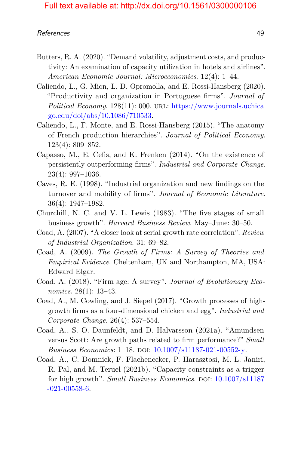- Butters, R. A. (2020). "Demand volatility, adjustment costs, and productivity: An examination of capacity utilization in hotels and airlines". *American Economic Journal: Microeconomics*. 12(4): 1–44.
- <span id="page-14-3"></span>Caliendo, L., G. Mion, L. D. Opromolla, and E. Rossi-Hansberg (2020). "Productivity and organization in Portuguese firms". *Journal of Political Economy.* 128(11): 000. URL: [https://www.journals.uchica](https://www.journals.uchicago.edu/doi/abs/10.1086/710533) [go.edu/doi/abs/10.1086/710533.](https://www.journals.uchicago.edu/doi/abs/10.1086/710533)
- Caliendo, L., F. Monte, and E. Rossi-Hansberg (2015). "The anatomy of French production hierarchies". *Journal of Political Economy*. 123(4): 809–852.
- Capasso, M., E. Cefis, and K. Frenken (2014). "On the existence of persistently outperforming firms". *Industrial and Corporate Change*. 23(4): 997–1036.
- <span id="page-14-0"></span>Caves, R. E. (1998). "Industrial organization and new findings on the turnover and mobility of firms". *Journal of Economic Literature*. 36(4): 1947–1982.
- Churchill, N. C. and V. L. Lewis (1983). "The five stages of small business growth". *Harvard Business Review*. May–June: 30–50.
- Coad, A. (2007). "A closer look at serial growth rate correlation". *Review of Industrial Organization*. 31: 69–82.
- <span id="page-14-1"></span>Coad, A. (2009). *The Growth of Firms: A Survey of Theories and Empirical Evidence*. Cheltenham, UK and Northampton, MA, USA: Edward Elgar.
- <span id="page-14-2"></span>Coad, A. (2018). "Firm age: A survey". *Journal of Evolutionary Economics*. 28(1): 13–43.
- Coad, A., M. Cowling, and J. Siepel (2017). "Growth processes of highgrowth firms as a four-dimensional chicken and egg". *Industrial and Corporate Change*. 26(4): 537–554.
- Coad, A., S. O. Daunfeldt, and D. Halvarsson (2021a). "Amundsen versus Scott: Are growth paths related to firm performance?" *Small Business Economics*: 1-18. DOI: [10.1007/s11187-021-00552-y.](https://doi.org/10.1007/s11187-021-00552-y)
- Coad, A., C. Domnick, F. Flachenecker, P. Harasztosi, M. L. Janiri, R. Pal, and M. Teruel (2021b). "Capacity constraints as a trigger for high growth". *Small Business Economics*. DOI:  $10.1007 \text{/} s11187$  $-021-00558-6.$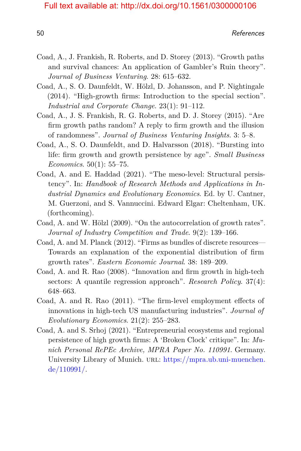- Coad, A., J. Frankish, R. Roberts, and D. Storey (2013). "Growth paths and survival chances: An application of Gambler's Ruin theory". *Journal of Business Venturing*. 28: 615–632.
- <span id="page-15-0"></span>Coad, A., S. O. Daunfeldt, W. Hölzl, D. Johansson, and P. Nightingale (2014). "High-growth firms: Introduction to the special section". *Industrial and Corporate Change*. 23(1): 91–112.
- Coad, A., J. S. Frankish, R. G. Roberts, and D. J. Storey (2015). "Are firm growth paths random? A reply to firm growth and the illusion of randomness". *Journal of Business Venturing Insights*. 3: 5–8.
- Coad, A., S. O. Daunfeldt, and D. Halvarsson (2018). "Bursting into life: firm growth and growth persistence by age". *Small Business Economics*. 50(1): 55–75.
- Coad, A. and E. Haddad (2021). "The meso-level: Structural persistency". In: *Handbook of Research Methods and Applications in Industrial Dynamics and Evolutionary Economics*. Ed. by U. Cantner, M. Guerzoni, and S. Vannuccini. Edward Elgar: Cheltenham, UK. (forthcoming).
- Coad, A. and W. Hölzl (2009). "On the autocorrelation of growth rates". *Journal of Industry Competition and Trade*. 9(2): 139–166.
- Coad, A. and M. Planck (2012). "Firms as bundles of discrete resources— Towards an explanation of the exponential distribution of firm growth rates". *Eastern Economic Journal*. 38: 189–209.
- Coad, A. and R. Rao (2008). "Innovation and firm growth in high-tech sectors: A quantile regression approach". *Research Policy*. 37(4): 648–663.
- Coad, A. and R. Rao (2011). "The firm-level employment effects of innovations in high-tech US manufacturing industries". *Journal of Evolutionary Economics*. 21(2): 255–283.
- Coad, A. and S. Srhoj (2021). "Entrepreneurial ecosystems and regional persistence of high growth firms: A 'Broken Clock' critique". In: *Munich Personal RePEc Archive, MPRA Paper No. 110991*. Germany. University Library of Munich. URL: [https://mpra.ub.uni-muenchen.](https://mpra.ub.uni-muenchen.de/110991/) [de/110991/.](https://mpra.ub.uni-muenchen.de/110991/)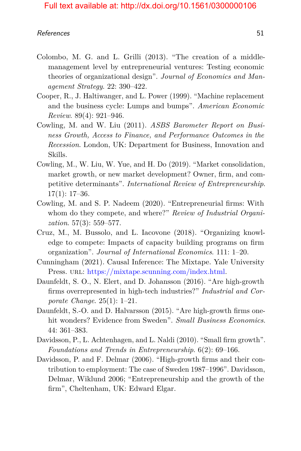- Colombo, M. G. and L. Grilli (2013). "The creation of a middlemanagement level by entrepreneurial ventures: Testing economic theories of organizational design". *Journal of Economics and Management Strategy*. 22: 390–422.
- Cooper, R., J. Haltiwanger, and L. Power (1999). "Machine replacement and the business cycle: Lumps and bumps". *American Economic Review*. 89(4): 921–946.
- Cowling, M. and W. Liu (2011). *ASBS Barometer Report on Business Growth, Access to Finance, and Performance Outcomes in the Recession*. London, UK: Department for Business, Innovation and Skills.
- Cowling, M., W. Liu, W. Yue, and H. Do (2019). "Market consolidation, market growth, or new market development? Owner, firm, and competitive determinants". *International Review of Entrepreneurship*.  $17(1): 17-36.$
- Cowling, M. and S. P. Nadeem (2020). "Entrepreneurial firms: With whom do they compete, and where?" *Review of Industrial Organization*. 57(3): 559–577.
- Cruz, M., M. Bussolo, and L. Iacovone (2018). "Organizing knowledge to compete: Impacts of capacity building programs on firm organization". *Journal of International Economics*. 111: 1–20.
- Cunningham (2021). Causal Inference: The Mixtape. Yale University Press. URL: [https://mixtape.scunning.com/index.html.](https://mixtape.scunning.com/index.html)
- Daunfeldt, S. O., N. Elert, and D. Johansson (2016). "Are high-growth firms overrepresented in high-tech industries?" *Industrial and Corporate Change*. 25(1): 1–21.
- Daunfeldt, S.-O. and D. Halvarsson (2015). "Are high-growth firms onehit wonders? Evidence from Sweden". *Small Business Economics*. 44: 361–383.
- <span id="page-16-0"></span>Davidsson, P., L. Achtenhagen, and L. Naldi (2010). "Small firm growth". *Foundations and Trends in Entrepreneurship*. 6(2): 69–166.
- Davidsson, P. and F. Delmar (2006). "High-growth firms and their contribution to employment: The case of Sweden 1987–1996". Davidsson, Delmar, Wiklund 2006; "Entrepreneurship and the growth of the firm", Cheltenham, UK: Edward Elgar.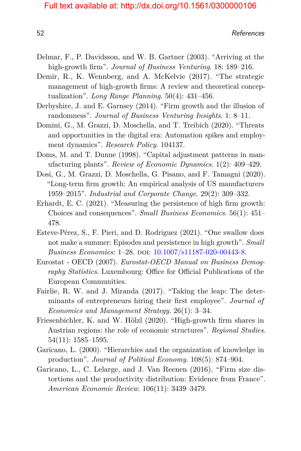- Delmar, F., P. Davidsson, and W. B. Gartner (2003). "Arriving at the high-growth firm". *Journal of Business Venturing*. 18: 189–216.
- <span id="page-17-0"></span>Demir, R., K. Wennberg, and A. McKelvie (2017). "The strategic management of high-growth firms: A review and theoretical conceptualization". *Long Range Planning*. 50(4): 431–456.
- Derbyshire, J. and E. Garnsey (2014). "Firm growth and the illusion of randomness". *Journal of Business Venturing Insights*. 1: 8–11.
- Domini, G., M. Grazzi, D. Moschella, and T. Treibich (2020). "Threats and opportunities in the digital era: Automation spikes and employment dynamics". *Research Policy*. 104137.
- Doms, M. and T. Dunne (1998). "Capital adjustment patterns in manufacturing plants". *Review of Economic Dynamics*. 1(2): 409–429.
- Dosi, G., M. Grazzi, D. Moschella, G. Pisano, and F. Tamagni (2020). "Long-term firm growth: An empirical analysis of US manufacturers 1959–2015". *Industrial and Corporate Change*. 29(2): 309–332.
- Erhardt, E. C. (2021). "Measuring the persistence of high firm growth: Choices and consequences". *Small Business Economics*. 56(1): 451– 478.
- Esteve-Pérez, S., F. Pieri, and D. Rodriguez (2021). "One swallow does not make a summer: Episodes and persistence in high growth". *Small Business Economics*: 1–28. DOI: [10.1007/s11187-020-00443-8.](https://doi.org/10.1007/s11187-020-00443-8)
- Eurostat OECD (2007). *Eurostat-OECD Manual on Business Demography Statistics*. Luxembourg: Office for Official Publications of the European Communities.
- Fairlie, R. W. and J. Miranda (2017). "Taking the leap: The determinants of entrepreneurs hiring their first employee". *Journal of Economics and Management Strategy*. 26(1): 3–34.
- Friesenbichler, K. and W. Hölzl (2020). "High-growth firm shares in Austrian regions: the role of economic structures". *Regional Studies*. 54(11): 1585–1595.
- Garicano, L. (2000). "Hierarchies and the organization of knowledge in production". *Journal of Political Economy*. 108(5): 874–904.
- Garicano, L., C. Lelarge, and J. Van Reenen (2016). "Firm size distortions and the productivity distribution: Evidence from France". *American Economic Review*. 106(11): 3439–3479.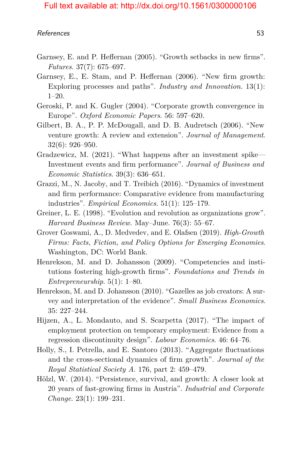- Garnsey, E. and P. Heffernan (2005). "Growth setbacks in new firms". *Futures*. 37(7): 675–697.
- Garnsey, E., E. Stam, and P. Heffernan (2006). "New firm growth: Exploring processes and paths". *Industry and Innovation*. 13(1): 1–20.
- Geroski, P. and K. Gugler (2004). "Corporate growth convergence in Europe". *Oxford Economic Papers*. 56: 597–620.
- <span id="page-18-0"></span>Gilbert, B. A., P. P. McDougall, and D. B. Audretsch (2006). "New venture growth: A review and extension". *Journal of Management*. 32(6): 926–950.
- Gradzewicz, M. (2021). "What happens after an investment spike— Investment events and firm performance". *Journal of Business and Economic Statistics*. 39(3): 636–651.
- Grazzi, M., N. Jacoby, and T. Treibich (2016). "Dynamics of investment and firm performance: Comparative evidence from manufacturing industries". *Empirical Economics*. 51(1): 125–179.
- Greiner, L. E. (1998). "Evolution and revolution as organizations grow". *Harvard Business Review.* May–June. 76(3): 55–67.
- Grover Goswami, A., D. Medvedev, and E. Olafsen (2019). *High-Growth Firms: Facts, Fiction, and Policy Options for Emerging Economies*. Washington, DC: World Bank.
- <span id="page-18-1"></span>Henrekson, M. and D. Johansson (2009). "Competencies and institutions fostering high-growth firms". *Foundations and Trends in Entrepreneurship*. 5(1): 1–80.
- <span id="page-18-2"></span>Henrekson, M. and D. Johansson (2010). "Gazelles as job creators: A survey and interpretation of the evidence". *Small Business Economics*. 35: 227–244.
- Hijzen, A., L. Mondauto, and S. Scarpetta (2017). "The impact of employment protection on temporary employment: Evidence from a regression discontinuity design". *Labour Economics*. 46: 64–76.
- Holly, S., I. Petrella, and E. Santoro (2013). "Aggregate fluctuations and the cross-sectional dynamics of firm growth". *Journal of the Royal Statistical Society A*. 176, part 2: 459–479.
- Hölzl, W. (2014). "Persistence, survival, and growth: A closer look at 20 years of fast-growing firms in Austria". *Industrial and Corporate Change*. 23(1): 199–231.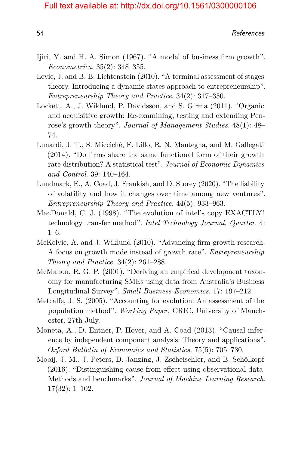- Ijiri, Y. and H. A. Simon (1967). "A model of business firm growth". *Econometrica*. 35(2): 348–355.
- Levie, J. and B. B. Lichtenstein (2010). "A terminal assessment of stages theory. Introducing a dynamic states approach to entrepreneurship". *Entrepreneurship Theory and Practice*. 34(2): 317–350.
- Lockett, A., J. Wiklund, P. Davidsson, and S. Girma (2011). "Organic and acquisitive growth: Re-examining, testing and extending Penrose's growth theory". *Journal of Management Studies*. 48(1): 48– 74.
- Lunardi, J. T., S. Miccichè, F. Lillo, R. N. Mantegna, and M. Gallegati (2014). "Do firms share the same functional form of their growth rate distribution? A statistical test". *Journal of Economic Dynamics and Control*. 39: 140–164.
- Lundmark, E., A. Coad, J. Frankish, and D. Storey (2020). "The liability of volatility and how it changes over time among new ventures". *Entrepreneurship Theory and Practice*. 44(5): 933–963.
- MacDonald, C. J. (1998). "The evolution of intel's copy EXACTLY! technology transfer method". *Intel Technology Journal, Quarter*. 4: 1–6.
- <span id="page-19-0"></span>McKelvie, A. and J. Wiklund (2010). "Advancing firm growth research: A focus on growth mode instead of growth rate". *Entrepreneurship Theory and Practice*. 34(2): 261–288.
- McMahon, R. G. P. (2001). "Deriving an empirical development taxonomy for manufacturing SMEs using data from Australia's Business Longitudinal Survey". *Small Business Economics*. 17: 197–212.
- Metcalfe, J. S. (2005). "Accounting for evolution: An assessment of the population method". *Working Paper*, CRIC, University of Manchester. 27th July.
- Moneta, A., D. Entner, P. Hoyer, and A. Coad (2013). "Causal inference by independent component analysis: Theory and applications". *Oxford Bulletin of Economics and Statistics*. 75(5): 705–730.
- Mooij, J. M., J. Peters, D. Janzing, J. Zscheischler, and B. Schölkopf (2016). "Distinguishing cause from effect using observational data: Methods and benchmarks". *Journal of Machine Learning Research*. 17(32): 1–102.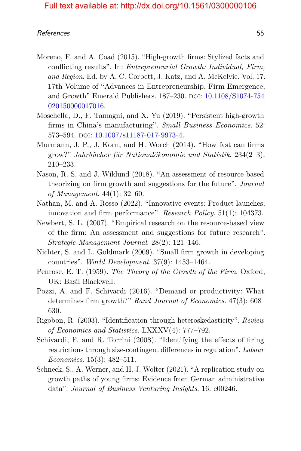- <span id="page-20-0"></span>Moreno, F. and A. Coad (2015). "High-growth firms: Stylized facts and conflicting results". In: *Entrepreneurial Growth: Individual, Firm, and Region*. Ed. by A. C. Corbett, J. Katz, and A. McKelvie. Vol. 17. 17th Volume of "Advances in Entrepreneurship, Firm Emergence, and Growth" Emerald Publishers. 187-230. DOI: [10.1108/S1074-754](https://doi.org/10.1108/S1074-754020150000017016) [020150000017016.](https://doi.org/10.1108/S1074-754020150000017016)
- Moschella, D., F. Tamagni, and X. Yu (2019). "Persistent high-growth firms in China's manufacturing". *Small Business Economics*. 52: 573–594. doi: [10.1007/s11187-017-9973-4.](https://doi.org/10.1007/s11187-017-9973-4)
- Murmann, J. P., J. Korn, and H. Worch (2014). "How fast can firms grow?" *Jahrbücher für Nationalökonomie und Statistik*. 234(2–3): 210–233.
- <span id="page-20-1"></span>Nason, R. S. and J. Wiklund (2018). "An assessment of resource-based theorizing on firm growth and suggestions for the future". *Journal of Management*. 44(1): 32–60.
- Nathan, M. and A. Rosso (2022). "Innovative events: Product launches, innovation and firm performance". *Research Policy*. 51(1): 104373.
- Newbert, S. L. (2007). "Empirical research on the resource-based view of the firm: An assessment and suggestions for future research". *Strategic Management Journal*. 28(2): 121–146.
- <span id="page-20-2"></span>Nichter, S. and L. Goldmark (2009). "Small firm growth in developing countries". *World Development*. 37(9): 1453–1464.
- Penrose, E. T. (1959). *The Theory of the Growth of the Firm*. Oxford, UK: Basil Blackwell.
- Pozzi, A. and F. Schivardi (2016). "Demand or productivity: What determines firm growth?" *Rand Journal of Economics*. 47(3): 608– 630.
- Rigobon, R. (2003). "Identification through heteroskedasticity". *Review of Economics and Statistics*. LXXXV(4): 777–792.
- Schivardi, F. and R. Torrini (2008). "Identifying the effects of firing restrictions through size-contingent differences in regulation". *Labour Economics*. 15(3): 482–511.
- Schneck, S., A. Werner, and H. J. Wolter (2021). "A replication study on growth paths of young firms: Evidence from German administrative data". *Journal of Business Venturing Insights*. 16: e00246.